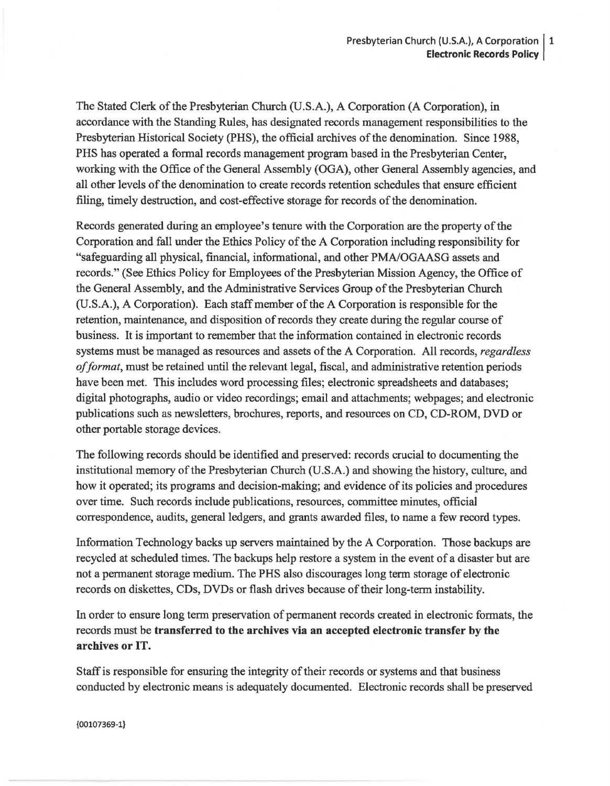The Stated Clerk of the Presbyterian Church (U.S.A.), A Corporation (A Corporation), in accordance with the Standing Rules, has designated records management responsibilities to the Presbyterian Historical Society (PHS), the official archives of the denomination. Since 1988, PHS has operated a formal records management program based in the Presbyterian Center, working with the Office of the General Assembly (OGA), other General Assembly agencies, and all other levels of the denomination to create records retention schedules that ensure efficient filing, timely destruction, and cost-effective storage for records of the denomination.

Records generated during an employee's tenure with the Corporation are the property of the Corporation and fall under the Ethics Policy of the A Corporation including responsibility for "safeguarding all physical, financial, informational, and other PMNOGAASG assets and records." (See Ethics Policy for Employees of the Presbyterian Mission Agency, the Office of the General Assembly, and the Administrative Services Group of the Presbyterian Church (U.S.A.), A Corporation). Each staff member of the A Corporation is responsible for the retention, maintenance, and disposition of records they create during the regular course of business. It is important to remember that the information contained in electronic records systems must be managed as resources and assets of the A Corporation. All records, *regardless of format,* must be retained until the relevant legal, fiscal, and administrative retention periods have been met. This includes word processing files; electronic spreadsheets and databases; digital photographs, audio or video recordings; email and attachments; webpages; and electronic publications such as newsletters, brochures, reports, and resources on CD, CD-ROM, DVD or other portable storage devices.

The following records should be identified and preserved: records crucial to documenting the institutional memory of the Presbyterian Church (U.S.A.) and showing the history, culture, and how it operated; its programs and decision-making; and evidence of its policies and procedures over time. Such records include publications, resources, committee minutes, official correspondence, audits, general ledgers, and grants awarded files, to name a few record types.

Information Technology backs up servers maintained by the A Corporation. Those backups are recycled at scheduled times. The backups help restore a system in the event of a disaster but are not a permanent storage medium. The PHS also discourages long term storage of electronic records on diskettes, CDs, DVDs or flash drives because of their long-term instability.

In order to ensure long term preservation of permanent records created in electronic formats, the records must be transferred to the archives via an accepted electronic transfer by the archives or IT.

Staff is responsible for ensuring the integrity of their records or systems and that business conducted by electronic means is adequately documented. Electronic records shall be preserved

{00107369-1}